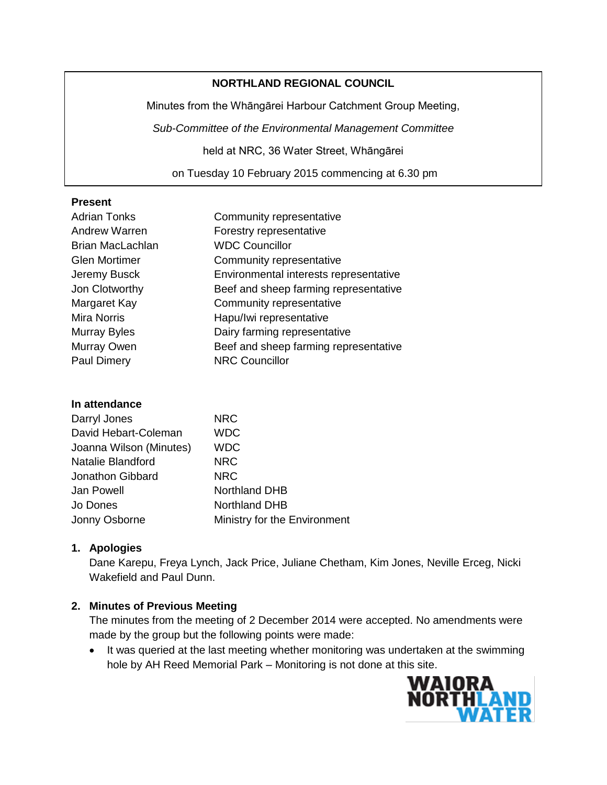### **NORTHLAND REGIONAL COUNCIL**

Minutes from the Whāngārei Harbour Catchment Group Meeting,

*Sub-Committee of the Environmental Management Committee*

held at NRC, 36 Water Street, Whāngārei

on Tuesday 10 February 2015 commencing at 6.30 pm

#### **Present**

| <b>Adrian Tonks</b>     | Community representative               |
|-------------------------|----------------------------------------|
| <b>Andrew Warren</b>    | Forestry representative                |
| <b>Brian MacLachlan</b> | <b>WDC Councillor</b>                  |
| <b>Glen Mortimer</b>    | Community representative               |
| Jeremy Busck            | Environmental interests representative |
| Jon Clotworthy          | Beef and sheep farming representative  |
| Margaret Kay            | Community representative               |
| <b>Mira Norris</b>      | Hapu/Iwi representative                |
| Murray Byles            | Dairy farming representative           |
| Murray Owen             | Beef and sheep farming representative  |
| <b>Paul Dimery</b>      | <b>NRC Councillor</b>                  |

### **In attendance**

| Darryl Jones            | <b>NRC</b>                   |
|-------------------------|------------------------------|
| David Hebart-Coleman    | <b>WDC</b>                   |
| Joanna Wilson (Minutes) | <b>WDC</b>                   |
| Natalie Blandford       | <b>NRC</b>                   |
| Jonathon Gibbard        | <b>NRC</b>                   |
| Jan Powell              | <b>Northland DHB</b>         |
| Jo Dones                | <b>Northland DHB</b>         |
| Jonny Osborne           | Ministry for the Environment |

### **1. Apologies**

Dane Karepu, Freya Lynch, Jack Price, Juliane Chetham, Kim Jones, Neville Erceg, Nicki Wakefield and Paul Dunn.

### **2. Minutes of Previous Meeting**

The minutes from the meeting of 2 December 2014 were accepted. No amendments were made by the group but the following points were made:

• It was queried at the last meeting whether monitoring was undertaken at the swimming hole by AH Reed Memorial Park – Monitoring is not done at this site.

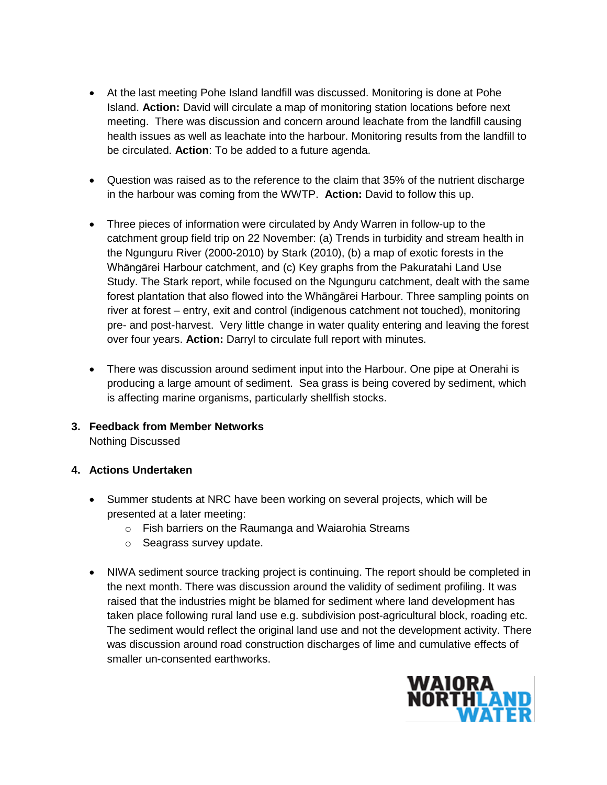- At the last meeting Pohe Island landfill was discussed. Monitoring is done at Pohe Island. **Action:** David will circulate a map of monitoring station locations before next meeting. There was discussion and concern around leachate from the landfill causing health issues as well as leachate into the harbour. Monitoring results from the landfill to be circulated. **Action**: To be added to a future agenda.
- Question was raised as to the reference to the claim that 35% of the nutrient discharge in the harbour was coming from the WWTP. **Action:** David to follow this up.
- Three pieces of information were circulated by Andy Warren in follow-up to the catchment group field trip on 22 November: (a) Trends in turbidity and stream health in the Ngunguru River (2000-2010) by Stark (2010), (b) a map of exotic forests in the Whāngārei Harbour catchment, and (c) Key graphs from the Pakuratahi Land Use Study. The Stark report, while focused on the Ngunguru catchment, dealt with the same forest plantation that also flowed into the Whāngārei Harbour. Three sampling points on river at forest – entry, exit and control (indigenous catchment not touched), monitoring pre- and post-harvest. Very little change in water quality entering and leaving the forest over four years. **Action:** Darryl to circulate full report with minutes.
- There was discussion around sediment input into the Harbour. One pipe at Onerahi is producing a large amount of sediment. Sea grass is being covered by sediment, which is affecting marine organisms, particularly shellfish stocks.
- **3. Feedback from Member Networks** Nothing Discussed

# **4. Actions Undertaken**

- Summer students at NRC have been working on several projects, which will be presented at a later meeting:
	- o Fish barriers on the Raumanga and Waiarohia Streams
	- o Seagrass survey update.
- NIWA sediment source tracking project is continuing. The report should be completed in the next month. There was discussion around the validity of sediment profiling. It was raised that the industries might be blamed for sediment where land development has taken place following rural land use e.g. subdivision post-agricultural block, roading etc. The sediment would reflect the original land use and not the development activity. There was discussion around road construction discharges of lime and cumulative effects of smaller un-consented earthworks.

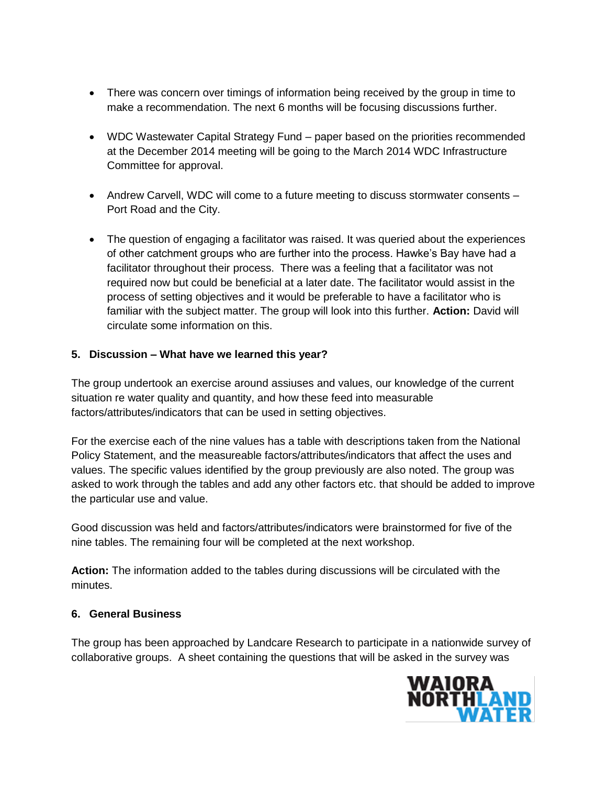- There was concern over timings of information being received by the group in time to make a recommendation. The next 6 months will be focusing discussions further.
- WDC Wastewater Capital Strategy Fund paper based on the priorities recommended at the December 2014 meeting will be going to the March 2014 WDC Infrastructure Committee for approval.
- Andrew Carvell, WDC will come to a future meeting to discuss stormwater consents Port Road and the City.
- The question of engaging a facilitator was raised. It was queried about the experiences of other catchment groups who are further into the process. Hawke's Bay have had a facilitator throughout their process. There was a feeling that a facilitator was not required now but could be beneficial at a later date. The facilitator would assist in the process of setting objectives and it would be preferable to have a facilitator who is familiar with the subject matter. The group will look into this further. **Action:** David will circulate some information on this.

# **5. Discussion – What have we learned this year?**

The group undertook an exercise around assiuses and values, our knowledge of the current situation re water quality and quantity, and how these feed into measurable factors/attributes/indicators that can be used in setting objectives.

For the exercise each of the nine values has a table with descriptions taken from the National Policy Statement, and the measureable factors/attributes/indicators that affect the uses and values. The specific values identified by the group previously are also noted. The group was asked to work through the tables and add any other factors etc. that should be added to improve the particular use and value.

Good discussion was held and factors/attributes/indicators were brainstormed for five of the nine tables. The remaining four will be completed at the next workshop.

**Action:** The information added to the tables during discussions will be circulated with the minutes.

# **6. General Business**

The group has been approached by Landcare Research to participate in a nationwide survey of collaborative groups. A sheet containing the questions that will be asked in the survey was